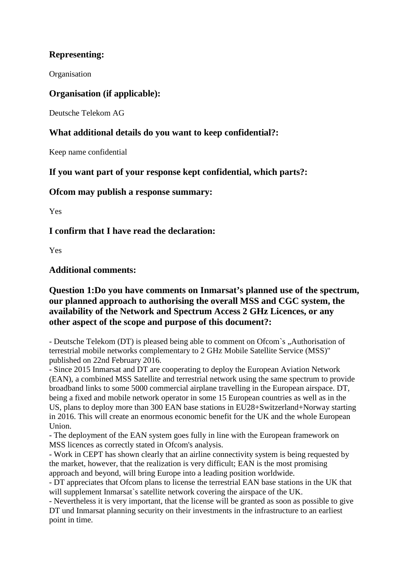# **Representing:**

**Organisation** 

#### **Organisation (if applicable):**

Deutsche Telekom AG

## **What additional details do you want to keep confidential?:**

Keep name confidential

**If you want part of your response kept confidential, which parts?:**

#### **Ofcom may publish a response summary:**

Yes

#### **I confirm that I have read the declaration:**

Yes

## **Additional comments:**

## **Question 1:Do you have comments on Inmarsat's planned use of the spectrum, our planned approach to authorising the overall MSS and CGC system, the availability of the Network and Spectrum Access 2 GHz Licences, or any other aspect of the scope and purpose of this document?:**

- Deutsche Telekom (DT) is pleased being able to comment on Ofcom's "Authorisation of terrestrial mobile networks complementary to 2 GHz Mobile Satellite Service (MSS)" published on 22nd February 2016.

- Since 2015 Inmarsat and DT are cooperating to deploy the European Aviation Network (EAN), a combined MSS Satellite and terrestrial network using the same spectrum to provide broadband links to some 5000 commercial airplane travelling in the European airspace. DT, being a fixed and mobile network operator in some 15 European countries as well as in the US, plans to deploy more than 300 EAN base stations in EU28+Switzerland+Norway starting in 2016. This will create an enormous economic benefit for the UK and the whole European Union.

- The deployment of the EAN system goes fully in line with the European framework on MSS licences as correctly stated in Ofcom's analysis.

- Work in CEPT has shown clearly that an airline connectivity system is being requested by the market, however, that the realization is very difficult; EAN is the most promising approach and beyond, will bring Europe into a leading position worldwide.

- DT appreciates that Ofcom plans to license the terrestrial EAN base stations in the UK that will supplement Inmarsat`s satellite network covering the airspace of the UK.

- Nevertheless it is very important, that the license will be granted as soon as possible to give DT und Inmarsat planning security on their investments in the infrastructure to an earliest point in time.